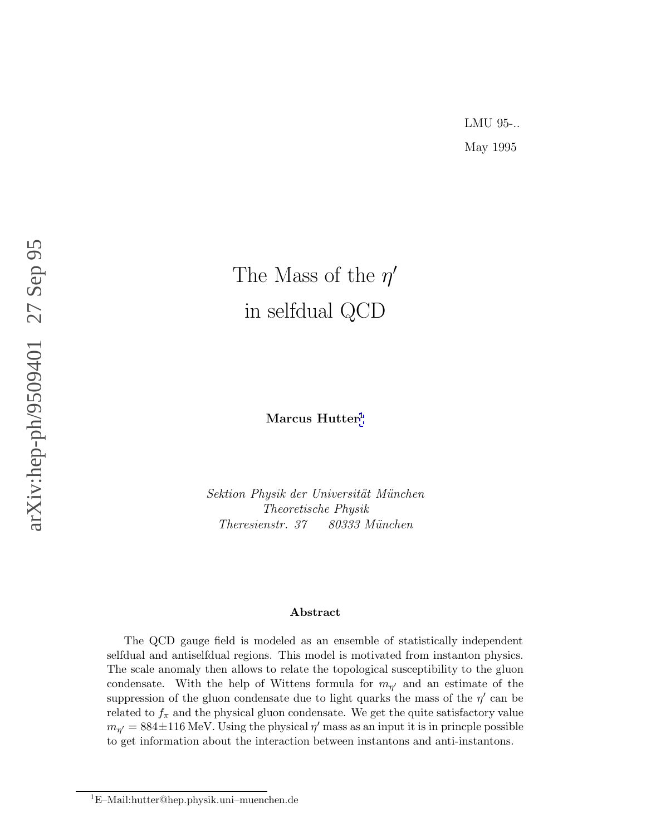# The Mass of the  $\eta'$ in selfdual QCD

**Marcus Hutter** 1

Sektion Physik der Universität München Theoretische Physik Theresienstr. 37 80333 München

#### **Abstract**

The QCD gauge field is modeled as an ensemble of statistically independent selfdual and antiselfdual regions. This model is motivated from instanton physics. The scale anomaly then allows to relate the topological susceptibility to the gluon condensate. With the help of Wittens formula for  $m_{\eta'}$  and an estimate of the suppression of the gluon condensate due to light quarks the mass of the  $\eta'$  can be related to  $f_{\pi}$  and the physical gluon condensate. We get the quite satisfactory value  $m_{\eta'} = 884 \pm 116 \text{ MeV}$ . Using the physical  $\eta'$  mass as an input it is in princple possible to get information about the interaction between instantons and anti-instantons.

<sup>1</sup>E–Mail:hutter@hep.physik.uni–muenchen.de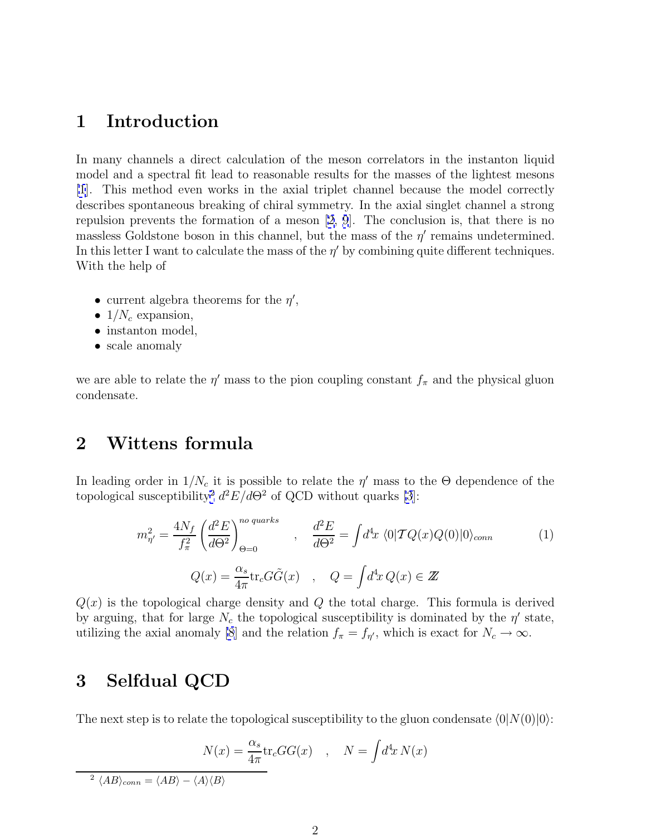# <span id="page-1-0"></span>**1 Introduction**

In many channels a direct calculation of the meson correlators in the instanton liquid model and a spectral fit lead to reasonable results for the masses of the lightest mesons [\[1](#page-5-0)]. This method even works in the axial triplet channel because the model correctly describes spontaneous breaking of chiral symmetry. In the axial singlet channel a strong repulsion prevents the formation of a meson [\[2, 9](#page-5-0)]. The conclusion is, that there is no massless Goldstone boson in this channel, but the mass of the  $\eta'$  remains undetermined. In this letter I want to calculate the mass of the  $\eta'$  by combining quite different techniques. With the help of

- current algebra theorems for the  $\eta'$ ,
- $1/N_c$  expansion,
- instanton model,
- scale anomaly

we are able to relate the  $\eta'$  mass to the pion coupling constant  $f_{\pi}$  and the physical gluon condensate.

# **2 Wittens formula**

In leading order in  $1/N_c$  it is possible to relate the  $\eta'$  mass to the  $\Theta$  dependence of the topological susceptibility<sup>2</sup>  $d^2E/d\Theta^2$  of QCD without quarks [\[3](#page-5-0)]:

$$
m_{\eta'}^2 = \frac{4N_f}{f_\pi^2} \left(\frac{d^2 E}{d\Theta^2}\right)_{\Theta=0}^{no\ quarks} , \quad \frac{d^2 E}{d\Theta^2} = \int d^4 x \langle 0|\mathcal{T}Q(x)Q(0)|0\rangle_{conn}
$$
(1)  

$$
Q(x) = \frac{\alpha_s}{4\pi} \text{tr}_c G \tilde{G}(x) , \quad Q = \int d^4 x \, Q(x) \in \mathbb{Z}
$$

 $Q(x)$  is the topological charge density and Q the total charge. This formula is derived by arguing, that for large  $N_c$  the topological susceptibility is dominated by the  $\eta'$  state, utilizing the axial anomaly [\[8](#page-5-0)] and the relation  $f_{\pi} = f_{\eta'}$ , which is exact for  $N_c \to \infty$ .

#### **3 Selfdual QCD**

The next step is to relate the topological susceptibility to the gluon condensate  $\langle 0|N(0)|0\rangle$ :

$$
N(x) = \frac{\alpha_s}{4\pi} \text{tr}_c G G(x) \quad , \quad N = \int d^4x \, N(x)
$$

<sup>2</sup>  $\langle AB \rangle_{conn} = \langle AB \rangle - \langle A \rangle \langle B \rangle$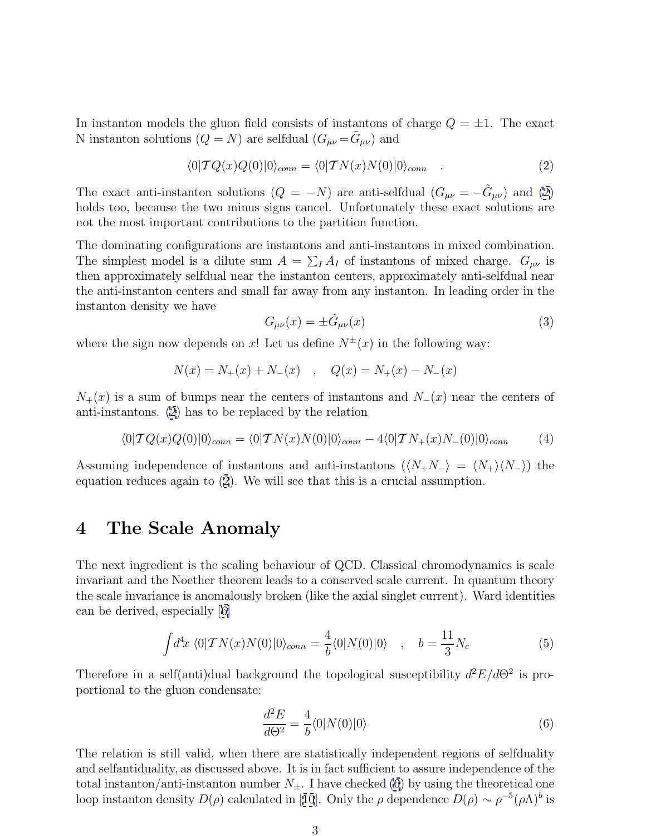<span id="page-2-0"></span>In instanton models the gluon field consists of instantons of charge  $Q = \pm 1$ . The exact N instanton solutions  $(Q = N)$  are selfdual  $(G_{\mu\nu} = \hat{G}_{\mu\nu})$  and

$$
\langle 0|TQ(x)Q(0)|0\rangle_{conn} = \langle 0|TN(x)N(0)|0\rangle_{conn} \quad . \tag{2}
$$

The exact anti-instanton solutions  $(Q = -N)$  are anti-selfdual  $(G_{\mu\nu} = -\tilde{G}_{\mu\nu})$  and (2) holds too, because the two minus signs cancel. Unfortunately these exact solutions are not the most important contributions to the partition function.

The dominating configurations are instantons and anti-instantons in mixed combination. The simplest model is a dilute sum  $A = \sum_{I} A_{I}$  of instantons of mixed charge.  $G_{\mu\nu}$  is then approximately selfdual near the instanton centers, approximately anti-selfdual near the anti-instanton centers and small far away from any instanton. In leading order in the instanton density we have

$$
G_{\mu\nu}(x) = \pm \tilde{G}_{\mu\nu}(x) \tag{3}
$$

where the sign now depends on x! Let us define  $N^{\pm}(x)$  in the following way:

$$
N(x) = N_{+}(x) + N_{-}(x) \quad , \quad Q(x) = N_{+}(x) - N_{-}(x)
$$

 $N_{+}(x)$  is a sum of bumps near the centers of instantons and  $N_{-}(x)$  near the centers of anti-instantons. (2) has to be replaced by the relation

$$
\langle 0|TQ(x)Q(0)|0\rangle_{conn} = \langle 0|TN(x)N(0)|0\rangle_{conn} - 4\langle 0|TN_+(x)N_-(0)|0\rangle_{conn} \qquad (4)
$$

Assuming independence of instantons and anti-instantons  $\langle\langle N_+N_-\rangle\rangle = \langle N_+\rangle \langle N_-\rangle$  the equation reduces again to (2). We will see that this is a crucial assumption.

#### **4 The Scale Anomaly**

The next ingredient is the scaling behaviour of QCD. Classical chromodynamics is scale invariant and the Noether theorem leads to a conserved scale current. In quantum theory the scale invariance is anomalously broken (like the axial singlet current). Ward identities can be derived, especially [[6\]](#page-5-0)

$$
\int d^4x \langle 0|TN(x)N(0)|0\rangle_{conn} = \frac{4}{b}\langle 0|N(0)|0\rangle \quad , \quad b = \frac{11}{3}N_c \tag{5}
$$

Therefore in a self(anti)dual background the topological susceptibility  $d^2E/d\Theta^2$  is proportional to the gluon condensate:

$$
\frac{d^2E}{d\Theta^2} = \frac{4}{b} \langle 0|N(0)|0\rangle \tag{6}
$$

The relation is still valid, when there are statistically independent regions of selfduality and selfantiduality, as discussed above. It is in fact sufficient to assure independence of the total instanton/anti-instanton number  $N_{\pm}$ . I have checked (6) by using the theoretical one loop instanton density  $D(\rho)$  calculated in [[10](#page-5-0)]. Only the  $\rho$  dependence  $D(\rho) \sim \rho^{-5}(\rho \Lambda)^b$  is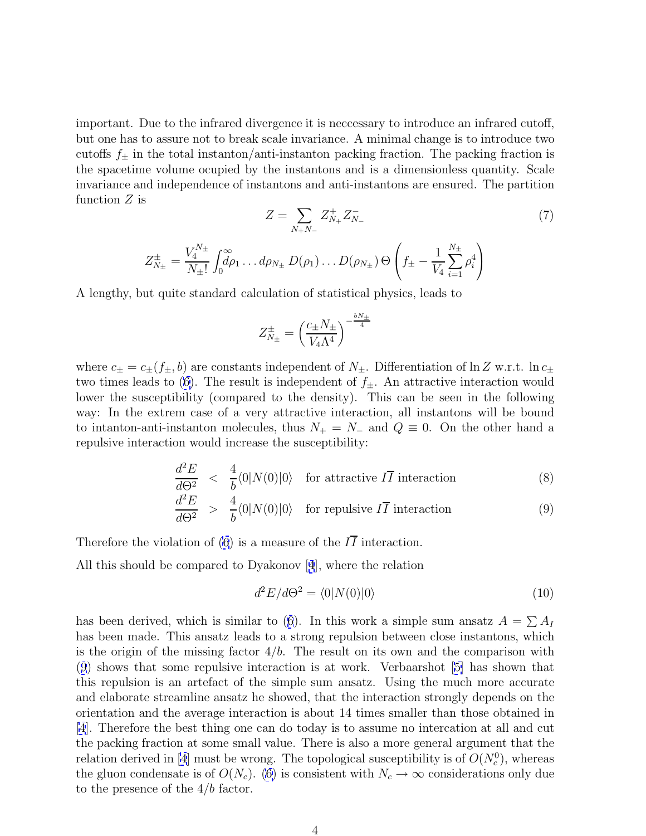<span id="page-3-0"></span>important. Due to the infrared divergence it is neccessary to introduce an infrared cutoff, but one has to assure not to break scale invariance. A minimal change is to introduce two cutoffs  $f_{\pm}$  in the total instanton/anti-instanton packing fraction. The packing fraction is the spacetime volume ocupied by the instantons and is a dimensionless quantity. Scale invariance and independence of instantons and anti-instantons are ensured. The partition function  $Z$  is

$$
Z = \sum_{N_{+}N_{-}} Z_{N_{+}}^{+} Z_{N_{-}}^{-}
$$
  
\n
$$
Z_{N_{\pm}}^{\pm} = \frac{V_{4}^{N_{\pm}}}{N_{\pm}!} \int_{0}^{\infty} d\rho_{1} \dots d\rho_{N_{\pm}} D(\rho_{1}) \dots D(\rho_{N_{\pm}}) \Theta \left( f_{\pm} - \frac{1}{V_{4}} \sum_{i=1}^{N_{\pm}} \rho_{i}^{4} \right)
$$
\n
$$
(7)
$$

A lengthy, but quite standard calculation of statistical physics, leads to

$$
Z_{N_{\pm}}^{\pm} = \left(\frac{c_{\pm}N_{\pm}}{V_4\Lambda^4}\right)^{-\frac{bN_{\pm}}{4}}
$$

where  $c_{\pm} = c_{\pm}(f_{\pm}, b)$  are constants independent of  $N_{\pm}$ . Differentiation of  $\ln Z$  w.r.t.  $\ln c_{\pm}$ two times leads to [\(6\)](#page-2-0). The result is independent of  $f_{\pm}$ . An attractive interaction would lower the susceptibility (compared to the density). This can be seen in the following way: In the extrem case of a very attractive interaction, all instantons will be bound to intanton-anti-instanton molecules, thus  $N_+ = N_-$  and  $Q \equiv 0$ . On the other hand a repulsive interaction would increase the susceptibility:

$$
\frac{d^2E}{d\Theta^2} < \frac{4}{b} \langle 0|N(0)|0 \rangle \quad \text{for attractive } I\overline{I} \text{ interaction} \tag{8}
$$
\n
$$
\frac{d^2E}{d^2E} < \frac{4}{b} \langle 0|N(0)|0 \rangle \quad \text{for attractive } I\overline{I} \text{ interaction} \tag{9}
$$

$$
\frac{d^2E}{d\Theta^2} > \frac{4}{b} \langle 0|N(0)|0\rangle \quad \text{for repulsive } I\overline{I} \text{ interaction} \tag{9}
$$

Therefore the violation of [\(6](#page-2-0)) is a measure of the  $I\overline{I}$  interaction.

All this should be compared to Dyakonov [[4](#page-5-0)], where the relation

$$
d^2E/d\Theta^2 = \langle 0|N(0)|0\rangle \tag{10}
$$

has been derived, which is similar to ([6](#page-2-0)). In this work a simple sum ansatz  $A = \sum A_I$ has been made. This ansatz leads to a strong repulsion between close instantons, which is the origin of the missing factor  $4/b$ . The result on its own and the comparison with (9) shows that some repulsive interaction is at work. Verbaarshot [[5\]](#page-5-0) has shown that this repulsion is an artefact of the simple sum ansatz. Using the much more accurate and elaborate streamline ansatz he showed, that the interaction strongly depends on the orientation and the average interaction is about 14 times smaller than those obtained in [\[4](#page-5-0)]. Therefore the best thing one can do today is to assume no intercation at all and cut the packing fraction at some small value. There is also a more general argument that the relation derived in [\[4](#page-5-0)] must be wrong. The topological susceptibility is of  $O(N_c^0)$ , whereas the gluon condensate is of  $O(N_c)$ . [\(6](#page-2-0)) is consistent with  $N_c \to \infty$  considerations only due to the presence of the  $4/b$  factor.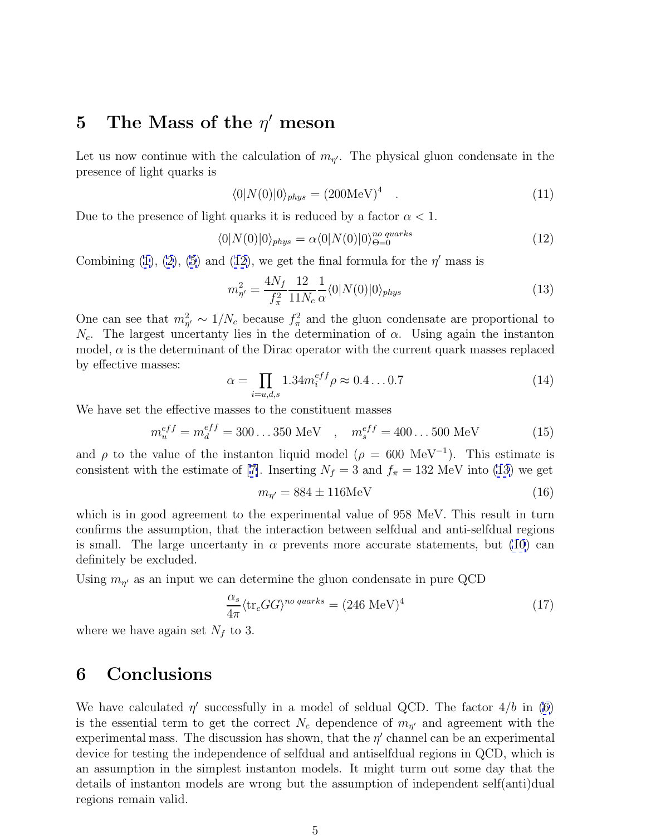### **5** The Mass of the  $\eta'$  meson

Let us now continue with the calculation of  $m_{\eta}$ . The physical gluon condensate in the presence of light quarks is

$$
\langle 0|N(0)|0\rangle_{phys} = (200\text{MeV})^4 \quad . \tag{11}
$$

Due to the presence of light quarks it is reduced by a factor  $\alpha < 1$ .

$$
\langle 0|N(0)|0\rangle_{phys} = \alpha \langle 0|N(0)|0\rangle_{\Theta=0}^{no\ quarks} \tag{12}
$$

Combining [\(1\)](#page-1-0), [\(2\)](#page-2-0), [\(5](#page-2-0)) and (12), we get the final formula for the  $\eta'$  mass is

$$
m_{\eta'}^2 = \frac{4N_f}{f_\pi^2} \frac{12}{11N_c} \frac{1}{\alpha} \langle 0|N(0)|0\rangle_{phys} \tag{13}
$$

One can see that  $m_{\eta'}^2 \sim 1/N_c$  because  $f_{\pi}^2$  and the gluon condensate are proportional to  $N_c$ . The largest uncertanty lies in the determination of  $\alpha$ . Using again the instanton model,  $\alpha$  is the determinant of the Dirac operator with the current quark masses replaced by effective masses:

$$
\alpha = \prod_{i=u,d,s} 1.34 m_i^{eff} \rho \approx 0.4 \dots 0.7
$$
 (14)

We have set the effective masses to the constituent masses

$$
m_u^{eff} = m_d^{eff} = 300...350 \text{ MeV} \quad , \quad m_s^{eff} = 400...500 \text{ MeV} \tag{15}
$$

and  $\rho$  to the value of the instanton liquid model ( $\rho = 600 \text{ MeV}^{-1}$ ). This estimate is consistent with the estimate of [[7\]](#page-5-0). Inserting  $N_f = 3$  and  $f_\pi = 132$  MeV into (13) we get

$$
m_{\eta'} = 884 \pm 116 \text{MeV} \tag{16}
$$

which is in good agreement to the experimental value of 958 MeV. This result in turn confirms the assumption, that the interaction between selfdual and anti-selfdual regions is small. The large uncertanty in  $\alpha$  prevents more accurate statements, but [\(10](#page-3-0)) can definitely be excluded.

Using  $m_{\eta'}$  as an input we can determine the gluon condensate in pure QCD

$$
\frac{\alpha_s}{4\pi} \langle \text{tr}_c G G \rangle^{no\ quarks} = (246 \text{ MeV})^4 \tag{17}
$$

where we have again set  $N_f$  to 3.

## **6 Conclusions**

We have calculated  $\eta'$  successfully in a model of seldual QCD. The factor  $4/b$  in [\(6\)](#page-2-0) is the essential term to get the correct  $N_c$  dependence of  $m_{\eta'}$  and agreement with the experimental mass. The discussion has shown, that the  $\eta'$  channel can be an experimental device for testing the independence of selfdual and antiselfdual regions in QCD, which is an assumption in the simplest instanton models. It might turm out some day that the details of instanton models are wrong but the assumption of independent self(anti)dual regions remain valid.